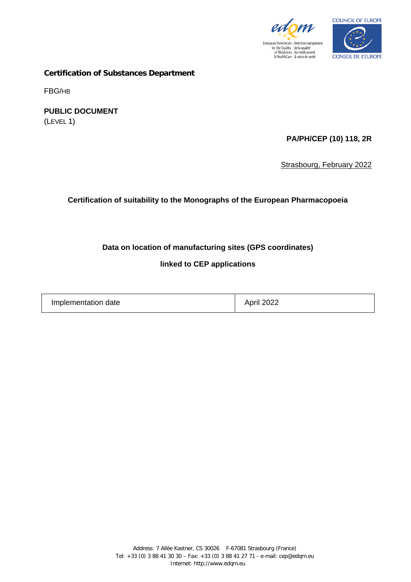



**Certification of Substances Department**

FBG/HB

**PUBLIC DOCUMENT** (LEVEL 1)

**PA/PH/CEP (10) 118, 2R**

Strasbourg, February 2022

**Certification of suitability to the Monographs of the European Pharmacopoeia**

## **Data on location of manufacturing sites (GPS coordinates)**

**linked to CEP applications**

Implementation date April 2022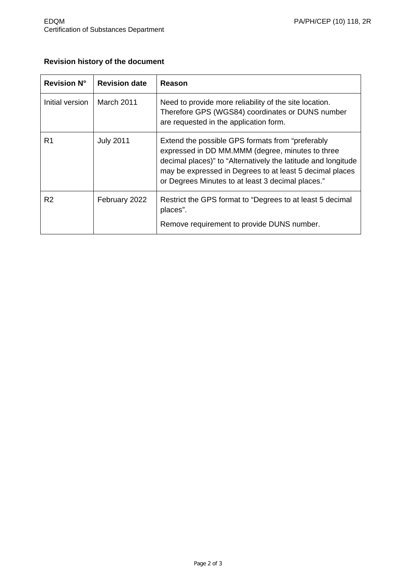# **Revision history of the document**

| <b>Revision N°</b> | <b>Revision date</b> | Reason                                                                                                                                                                                                                                                                                  |
|--------------------|----------------------|-----------------------------------------------------------------------------------------------------------------------------------------------------------------------------------------------------------------------------------------------------------------------------------------|
| Initial version    | March 2011           | Need to provide more reliability of the site location.<br>Therefore GPS (WGS84) coordinates or DUNS number<br>are requested in the application form.                                                                                                                                    |
| R1                 | <b>July 2011</b>     | Extend the possible GPS formats from "preferably"<br>expressed in DD MM.MMM (degree, minutes to three<br>decimal places)" to "Alternatively the latitude and longitude<br>may be expressed in Degrees to at least 5 decimal places<br>or Degrees Minutes to at least 3 decimal places." |
| R <sub>2</sub>     | February 2022        | Restrict the GPS format to "Degrees to at least 5 decimal<br>places".                                                                                                                                                                                                                   |
|                    |                      | Remove requirement to provide DUNS number.                                                                                                                                                                                                                                              |